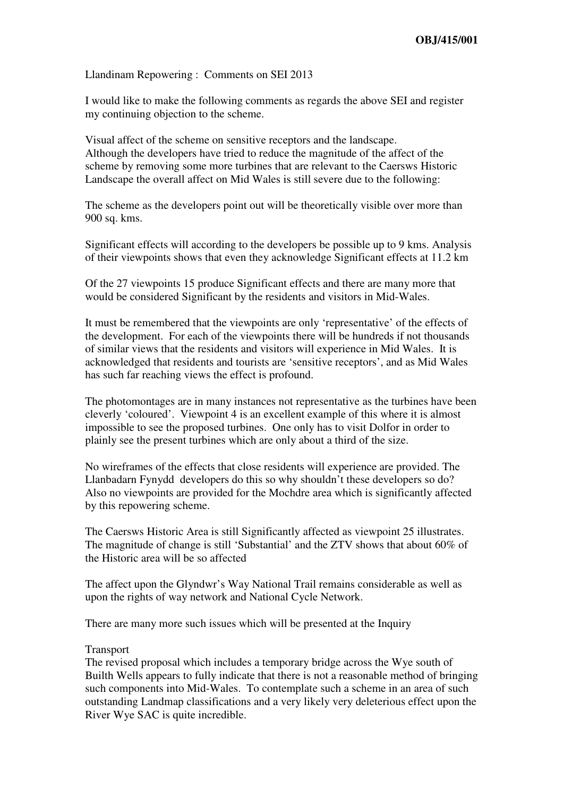Llandinam Repowering : Comments on SEI 2013

I would like to make the following comments as regards the above SEI and register my continuing objection to the scheme.

Visual affect of the scheme on sensitive receptors and the landscape. Although the developers have tried to reduce the magnitude of the affect of the scheme by removing some more turbines that are relevant to the Caersws Historic Landscape the overall affect on Mid Wales is still severe due to the following:

The scheme as the developers point out will be theoretically visible over more than 900 sq. kms.

Significant effects will according to the developers be possible up to 9 kms. Analysis of their viewpoints shows that even they acknowledge Significant effects at 11.2 km

Of the 27 viewpoints 15 produce Significant effects and there are many more that would be considered Significant by the residents and visitors in Mid-Wales.

It must be remembered that the viewpoints are only 'representative' of the effects of the development. For each of the viewpoints there will be hundreds if not thousands of similar views that the residents and visitors will experience in Mid Wales. It is acknowledged that residents and tourists are 'sensitive receptors', and as Mid Wales has such far reaching views the effect is profound.

The photomontages are in many instances not representative as the turbines have been cleverly 'coloured'. Viewpoint 4 is an excellent example of this where it is almost impossible to see the proposed turbines. One only has to visit Dolfor in order to plainly see the present turbines which are only about a third of the size.

No wireframes of the effects that close residents will experience are provided. The Llanbadarn Fynydd developers do this so why shouldn't these developers so do? Also no viewpoints are provided for the Mochdre area which is significantly affected by this repowering scheme.

The Caersws Historic Area is still Significantly affected as viewpoint 25 illustrates. The magnitude of change is still 'Substantial' and the ZTV shows that about 60% of the Historic area will be so affected

The affect upon the Glyndwr's Way National Trail remains considerable as well as upon the rights of way network and National Cycle Network.

There are many more such issues which will be presented at the Inquiry

## Transport

The revised proposal which includes a temporary bridge across the Wye south of Builth Wells appears to fully indicate that there is not a reasonable method of bringing such components into Mid-Wales. To contemplate such a scheme in an area of such outstanding Landmap classifications and a very likely very deleterious effect upon the River Wye SAC is quite incredible.